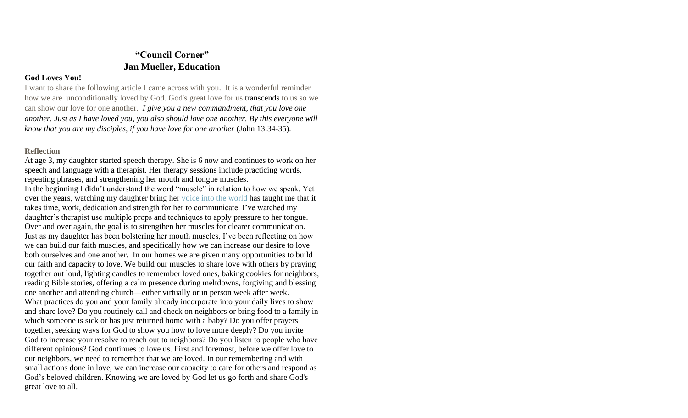# **"Council Corner" Jan Mueller, Education**

### **God Loves You!**

I want to share the following article I came across with you. It is a wonderful reminder how we are unconditionally loved by God. God's great love for us transcends to us so we can show our love for one another. *I give you a new commandment, that you love one another. Just as I have loved you, you also should love one another. By this everyone will know that you are my disciples, if you have love for one another* (John 13:34-35).

### **Reflection**

At age 3, my daughter started speech therapy. She is 6 now and continues to work on her speech and language with a therapist. Her therapy sessions include practicing words, repeating phrases, and strengthening her mouth and tongue muscles.

In the beginning I didn't understand the word "muscle" in relation to how we speak. Yet over the years, watching my daughter bring her [voice into the world](https://www.livinglutheran.org/2018/09/looking-for-the-word/) has taught me that it takes time, work, dedication and strength for her to communicate. I've watched my daughter's therapist use multiple props and techniques to apply pressure to her tongue. Over and over again, the goal is to strengthen her muscles for clearer communication. Just as my daughter has been bolstering her mouth muscles, I've been reflecting on how we can build our faith muscles, and specifically how we can increase our desire to love both ourselves and one another. In our homes we are given many opportunities to build our faith and capacity to love. We build our muscles to share love with others by praying together out loud, lighting candles to remember loved ones, baking cookies for neighbors, reading Bible stories, offering a calm presence during meltdowns, forgiving and blessing one another and attending church—either virtually or in person week after week. What practices do you and your family already incorporate into your daily lives to show and share love? Do you routinely call and check on neighbors or bring food to a family in which someone is sick or has just returned home with a baby? Do you offer prayers together, seeking ways for God to show you how to love more deeply? Do you invite God to increase your resolve to reach out to neighbors? Do you listen to people who have different opinions? God continues to love us. First and foremost, before we offer love to our neighbors, we need to remember that we are loved. In our remembering and with small actions done in love, we can increase our capacity to care for others and respond as God's beloved children. Knowing we are loved by God let us go forth and share God's great love to all.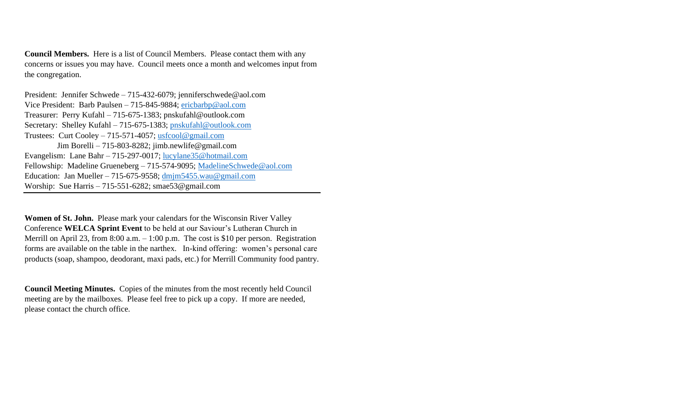**Council Members.** Here is a list of Council Members. Please contact them with any concerns or issues you may have. Council meets once a month and welcomes input from the congregation.

President: Jennifer Schwede – 715-432-6079; jenniferschwede@aol.com Vice President: Barb Paulsen – 715-845-9884; [ericbarbp@aol.com](mailto:ericbarbp@aol.com) Treasurer: Perry Kufahl – 715-675-1383; pnskufahl@outlook.com Secretary: Shelley Kufahl – 715-675-1383; [pnskufahl@outlook.com](mailto:pnskufahl@outlook.com) Trustees: Curt Cooley – 715-571-4057; [usfcool@gmail.com](mailto:usfcool@gmail.com) Jim Borelli – 715-803-8282; jimb.newlife@gmail.com Evangelism: Lane Bahr – 715-297-0017; [lucylane35@hotmail.com](mailto:lucylane35@hotmail.com) Fellowship: Madeline Grueneberg – 715-574-9095; [MadelineSchwede@aol.com](mailto:MadelineSchwede@aol.com) Education: Jan Mueller – 715-675-9558; [dmjm5455.wau@gmail.com](mailto:dmjm5455.wau@gmail.com) Worship: Sue Harris – 715-551-6282; smae53@gmail.com

**Women of St. John.** Please mark your calendars for the Wisconsin River Valley Conference **WELCA Sprint Event** to be held at our Saviour's Lutheran Church in Merrill on April 23, from 8:00 a.m. – 1:00 p.m. The cost is \$10 per person. Registration forms are available on the table in the narthex. In-kind offering: women's personal care products (soap, shampoo, deodorant, maxi pads, etc.) for Merrill Community food pantry.

**Council Meeting Minutes.** Copies of the minutes from the most recently held Council meeting are by the mailboxes. Please feel free to pick up a copy. If more are needed, please contact the church office.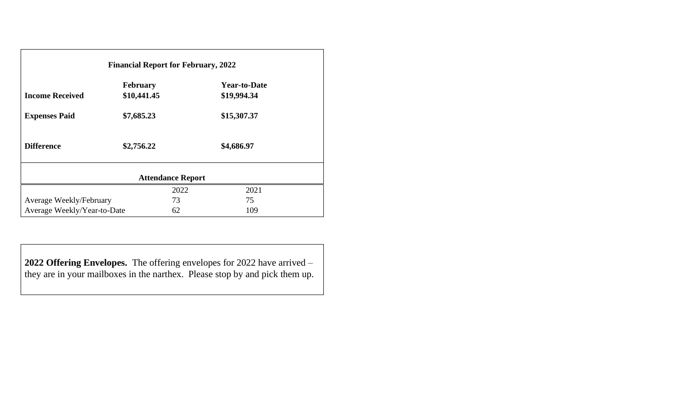| <b>Financial Report for February, 2022</b> |                 |      |                     |  |  |
|--------------------------------------------|-----------------|------|---------------------|--|--|
|                                            | <b>February</b> |      | <b>Year-to-Date</b> |  |  |
| <b>Income Received</b>                     | \$10,441.45     |      | \$19,994.34         |  |  |
| <b>Expenses Paid</b>                       | \$7,685.23      |      | \$15,307.37         |  |  |
| <b>Difference</b>                          | \$2,756.22      |      | \$4,686.97          |  |  |
| <b>Attendance Report</b>                   |                 |      |                     |  |  |
|                                            |                 | 2022 | 2021                |  |  |
| Average Weekly/February                    |                 | 73   | 75                  |  |  |
| Average Weekly/Year-to-Date                |                 | 62   | 109                 |  |  |

**2022 Offering Envelopes.** The offering envelopes for 2022 have arrived – they are in your mailboxes in the narthex. Please stop by and pick them up.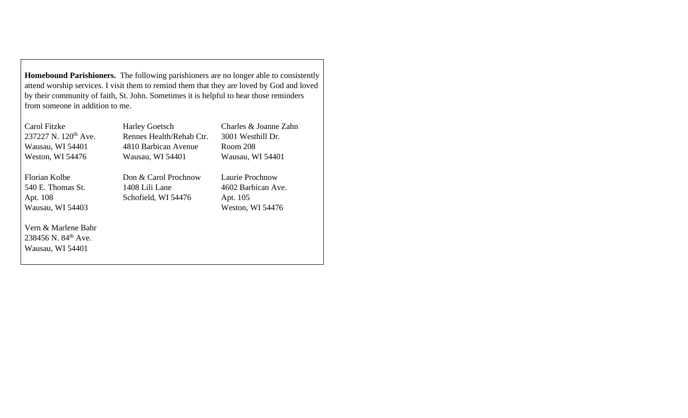**Homebound Parishioners.** The following parishioners are no longer able to consistently attend worship services. I visit them to remind them that they are loved by God and loved by their community of faith, St. John. Sometimes it is helpful to hear those reminders from someone in addition to me.

| Carol Fitzke<br>237227 N. 120 <sup>th</sup> Ave.<br>Wausau, WI 54401<br>Weston, WI 54476 | <b>Harley Goetsch</b><br>Rennes Health/Rehab Ctr.<br>4810 Barbican Avenue<br>Wausau, WI 54401 | Charles & Joanne Zahn<br>3001 Westhill Dr.<br>Room 208<br>Wausau, WI 54401 |
|------------------------------------------------------------------------------------------|-----------------------------------------------------------------------------------------------|----------------------------------------------------------------------------|
| Florian Kolbe<br>540 E. Thomas St.<br>Apt. 108<br>Wausau, WI 54403                       | Don & Carol Prochnow<br>1408 Lili Lane<br>Schofield, WI 54476                                 | Laurie Prochnow<br>4602 Barbican Ave.<br>Apt. 105<br>Weston, WI 54476      |
| Vern & Marlene Bahr<br>238456 N, $84^{th}$ Ave.<br>Wausau, WI 54401                      |                                                                                               |                                                                            |